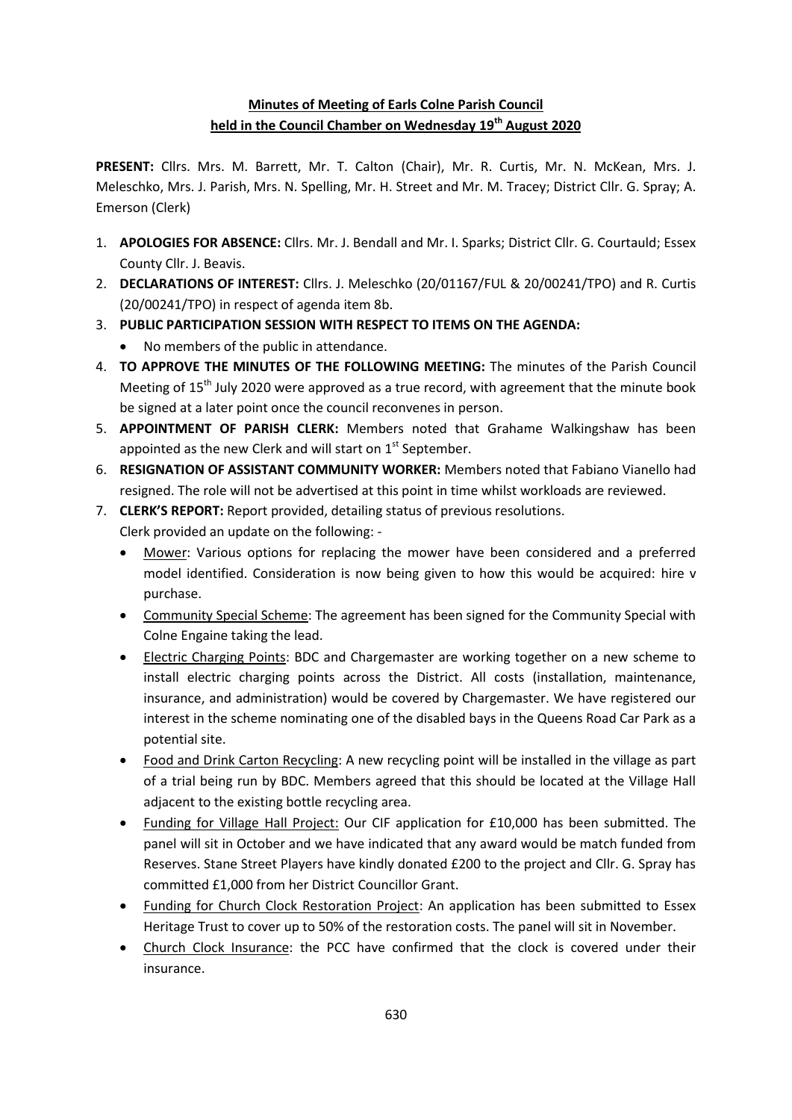# **Minutes of Meeting of Earls Colne Parish Council held in the Council Chamber on Wednesday 19 th August 2020**

**PRESENT:** Cllrs. Mrs. M. Barrett, Mr. T. Calton (Chair), Mr. R. Curtis, Mr. N. McKean, Mrs. J. Meleschko, Mrs. J. Parish, Mrs. N. Spelling, Mr. H. Street and Mr. M. Tracey; District Cllr. G. Spray; A. Emerson (Clerk)

- 1. **APOLOGIES FOR ABSENCE:** Cllrs. Mr. J. Bendall and Mr. I. Sparks; District Cllr. G. Courtauld; Essex County Cllr. J. Beavis.
- 2. **DECLARATIONS OF INTEREST:** Cllrs. J. Meleschko (20/01167/FUL & 20/00241/TPO) and R. Curtis (20/00241/TPO) in respect of agenda item 8b.
- 3. **PUBLIC PARTICIPATION SESSION WITH RESPECT TO ITEMS ON THE AGENDA:**
	- No members of the public in attendance.
- 4. **TO APPROVE THE MINUTES OF THE FOLLOWING MEETING:** The minutes of the Parish Council Meeting of 15<sup>th</sup> July 2020 were approved as a true record, with agreement that the minute book be signed at a later point once the council reconvenes in person.
- 5. **APPOINTMENT OF PARISH CLERK:** Members noted that Grahame Walkingshaw has been appointed as the new Clerk and will start on  $1<sup>st</sup>$  September.
- 6. **RESIGNATION OF ASSISTANT COMMUNITY WORKER:** Members noted that Fabiano Vianello had resigned. The role will not be advertised at this point in time whilst workloads are reviewed.
- 7. **CLERK'S REPORT:** Report provided, detailing status of previous resolutions.
	- Clerk provided an update on the following:
		- Mower: Various options for replacing the mower have been considered and a preferred model identified. Consideration is now being given to how this would be acquired: hire v purchase.
		- Community Special Scheme: The agreement has been signed for the Community Special with Colne Engaine taking the lead.
		- Electric Charging Points: BDC and Chargemaster are working together on a new scheme to install electric charging points across the District. All costs (installation, maintenance, insurance, and administration) would be covered by Chargemaster. We have registered our interest in the scheme nominating one of the disabled bays in the Queens Road Car Park as a potential site.
		- Food and Drink Carton Recycling: A new recycling point will be installed in the village as part of a trial being run by BDC. Members agreed that this should be located at the Village Hall adjacent to the existing bottle recycling area.
		- Funding for Village Hall Project: Our CIF application for £10,000 has been submitted. The panel will sit in October and we have indicated that any award would be match funded from Reserves. Stane Street Players have kindly donated £200 to the project and Cllr. G. Spray has committed £1,000 from her District Councillor Grant.
		- Funding for Church Clock Restoration Project: An application has been submitted to Essex Heritage Trust to cover up to 50% of the restoration costs. The panel will sit in November.
		- Church Clock Insurance: the PCC have confirmed that the clock is covered under their insurance.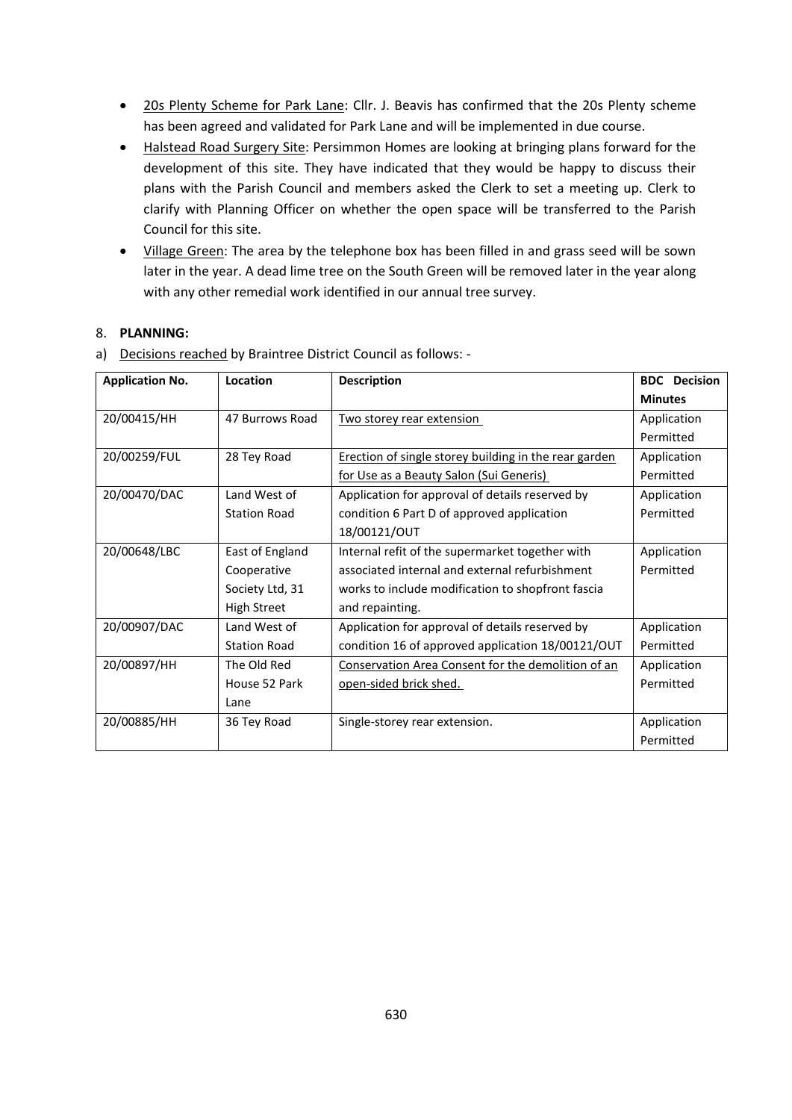- 20s Plenty Scheme for Park Lane: Cllr. J. Beavis has confirmed that the 20s Plenty scheme has been agreed and validated for Park Lane and will be implemented in due course.
- Halstead Road Surgery Site: Persimmon Homes are looking at bringing plans forward for the development of this site. They have indicated that they would be happy to discuss their plans with the Parish Council and members asked the Clerk to set a meeting up. Clerk to clarify with Planning Officer on whether the open space will be transferred to the Parish Council for this site.
- Village Green: The area by the telephone box has been filled in and grass seed will be sown later in the year. A dead lime tree on the South Green will be removed later in the year along with any other remedial work identified in our annual tree survey.

#### 8. **PLANNING:**

a) Decisions reached by Braintree District Council as follows: -

| <b>Application No.</b> | Location            | <b>Description</b>                                    | <b>BDC</b> Decision |
|------------------------|---------------------|-------------------------------------------------------|---------------------|
|                        |                     |                                                       | <b>Minutes</b>      |
| 20/00415/HH            | 47 Burrows Road     | Two storey rear extension                             | Application         |
|                        |                     |                                                       | Permitted           |
| 20/00259/FUL           | 28 Tey Road         | Erection of single storey building in the rear garden | Application         |
|                        |                     | <u>for Use as a Beauty Salon (Sui Generis)</u>        | Permitted           |
| 20/00470/DAC           | Land West of        | Application for approval of details reserved by       | Application         |
|                        | <b>Station Road</b> | condition 6 Part D of approved application            | Permitted           |
|                        |                     | 18/00121/OUT                                          |                     |
| 20/00648/LBC           | East of England     | Internal refit of the supermarket together with       | Application         |
|                        | Cooperative         | associated internal and external refurbishment        | Permitted           |
|                        | Society Ltd, 31     | works to include modification to shopfront fascia     |                     |
|                        | <b>High Street</b>  | and repainting.                                       |                     |
| 20/00907/DAC           | Land West of        | Application for approval of details reserved by       | Application         |
|                        | <b>Station Road</b> | condition 16 of approved application 18/00121/OUT     | Permitted           |
| 20/00897/HH            | The Old Red         | Conservation Area Consent for the demolition of an    | Application         |
|                        | House 52 Park       | <u>open-sided brick shed.</u>                         | Permitted           |
|                        | Lane                |                                                       |                     |
| 20/00885/HH            | 36 Tey Road         | Single-storey rear extension.                         | Application         |
|                        |                     |                                                       | Permitted           |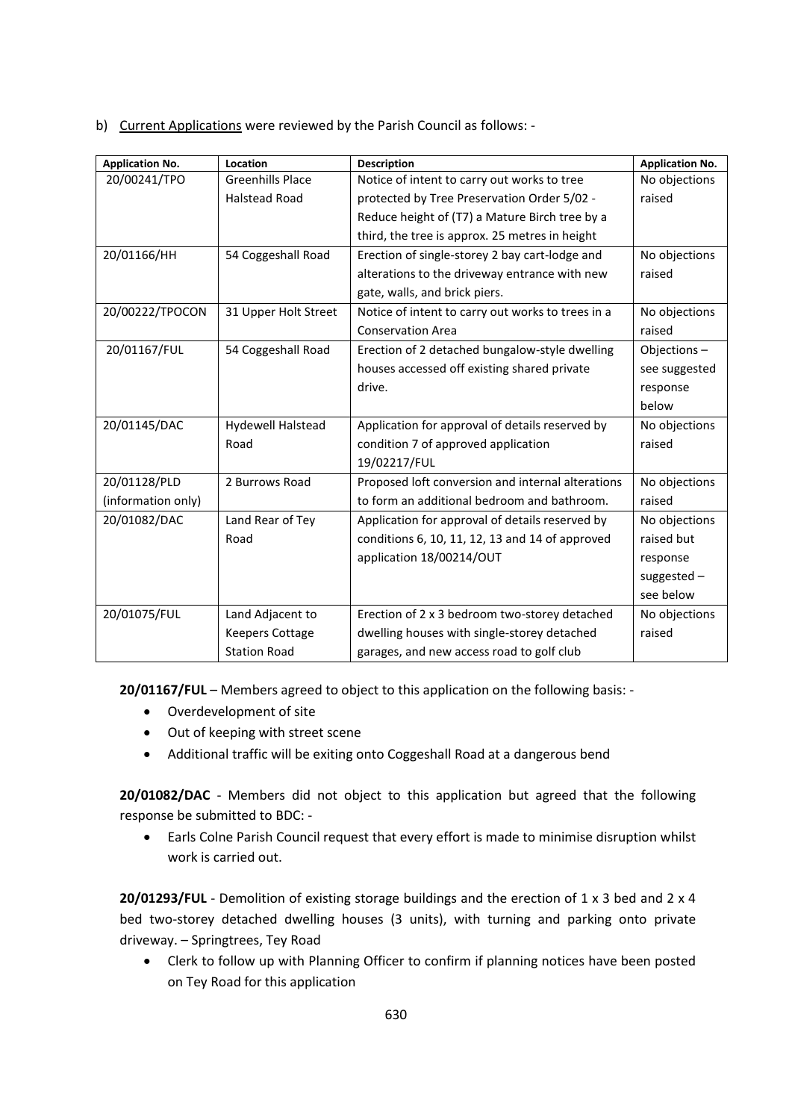b) Current Applications were reviewed by the Parish Council as follows: -

| <b>Application No.</b> | Location                 | <b>Description</b>                                | <b>Application No.</b> |
|------------------------|--------------------------|---------------------------------------------------|------------------------|
| 20/00241/TPO           | <b>Greenhills Place</b>  | Notice of intent to carry out works to tree       | No objections          |
|                        | <b>Halstead Road</b>     | protected by Tree Preservation Order 5/02 -       | raised                 |
|                        |                          | Reduce height of (T7) a Mature Birch tree by a    |                        |
|                        |                          | third, the tree is approx. 25 metres in height    |                        |
| 20/01166/HH            | 54 Coggeshall Road       | Erection of single-storey 2 bay cart-lodge and    | No objections          |
|                        |                          | alterations to the driveway entrance with new     | raised                 |
|                        |                          | gate, walls, and brick piers.                     |                        |
| 20/00222/TPOCON        | 31 Upper Holt Street     | Notice of intent to carry out works to trees in a | No objections          |
|                        |                          | <b>Conservation Area</b>                          | raised                 |
| 20/01167/FUL           | 54 Coggeshall Road       | Erection of 2 detached bungalow-style dwelling    | Objections-            |
|                        |                          | houses accessed off existing shared private       | see suggested          |
|                        |                          | drive.                                            | response               |
|                        |                          |                                                   | below                  |
| 20/01145/DAC           | <b>Hydewell Halstead</b> | Application for approval of details reserved by   | No objections          |
|                        | Road                     | condition 7 of approved application               | raised                 |
|                        |                          | 19/02217/FUL                                      |                        |
| 20/01128/PLD           | 2 Burrows Road           | Proposed loft conversion and internal alterations | No objections          |
| (information only)     |                          | to form an additional bedroom and bathroom.       | raised                 |
| 20/01082/DAC           | Land Rear of Tey         | Application for approval of details reserved by   | No objections          |
|                        | Road                     | conditions 6, 10, 11, 12, 13 and 14 of approved   | raised but             |
|                        |                          | application 18/00214/OUT                          | response               |
|                        |                          |                                                   | suggested -            |
|                        |                          |                                                   | see below              |
| 20/01075/FUL           | Land Adjacent to         | Erection of 2 x 3 bedroom two-storey detached     | No objections          |
|                        | <b>Keepers Cottage</b>   | dwelling houses with single-storey detached       | raised                 |
|                        | <b>Station Road</b>      | garages, and new access road to golf club         |                        |

**20/01167/FUL** – Members agreed to object to this application on the following basis: -

- Overdevelopment of site
- Out of keeping with street scene
- Additional traffic will be exiting onto Coggeshall Road at a dangerous bend

**20/01082/DAC** - Members did not object to this application but agreed that the following response be submitted to BDC: -

 Earls Colne Parish Council request that every effort is made to minimise disruption whilst work is carried out.

**20/01293/FUL** - Demolition of existing storage buildings and the erection of 1 x 3 bed and 2 x 4 bed two-storey detached dwelling houses (3 units), with turning and parking onto private driveway. – Springtrees, Tey Road

 Clerk to follow up with Planning Officer to confirm if planning notices have been posted on Tey Road for this application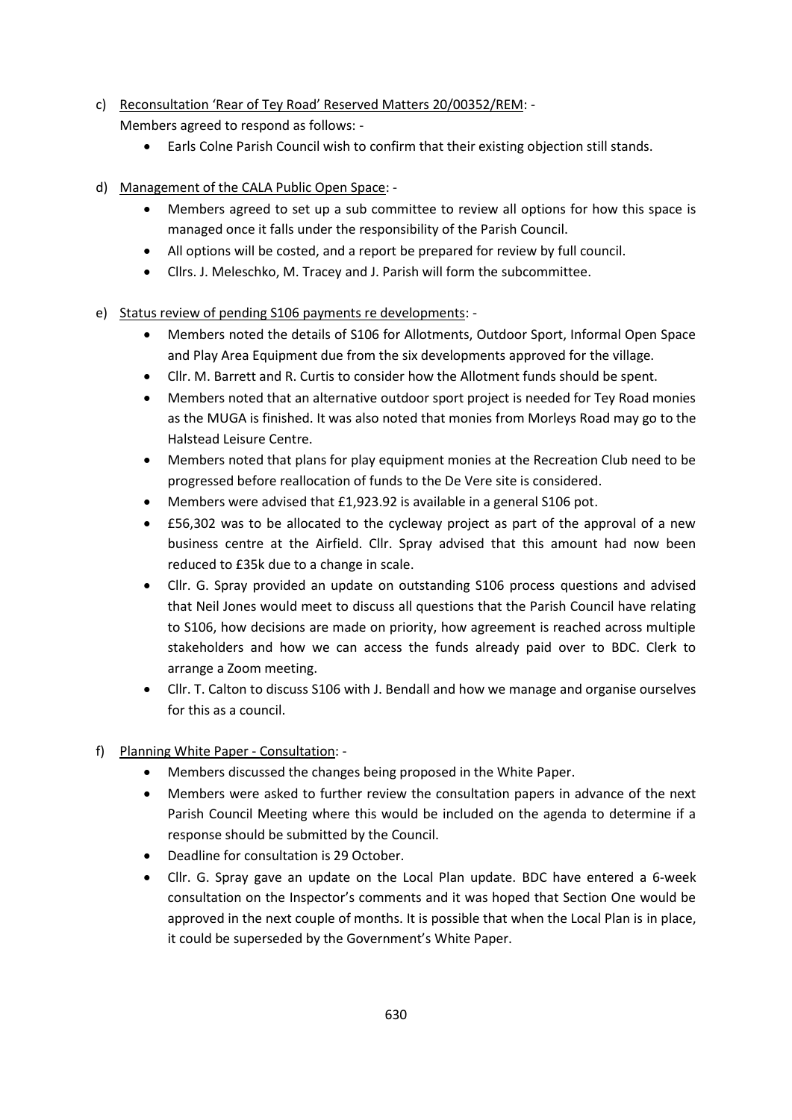- c) Reconsultation 'Rear of Tey Road' Reserved Matters 20/00352/REM: Members agreed to respond as follows: -
	- Earls Colne Parish Council wish to confirm that their existing objection still stands.
- d) Management of the CALA Public Open Space:
	- Members agreed to set up a sub committee to review all options for how this space is managed once it falls under the responsibility of the Parish Council.
	- All options will be costed, and a report be prepared for review by full council.
	- Cllrs. J. Meleschko, M. Tracey and J. Parish will form the subcommittee.
- e) Status review of pending S106 payments re developments:
	- Members noted the details of S106 for Allotments, Outdoor Sport, Informal Open Space and Play Area Equipment due from the six developments approved for the village.
	- Cllr. M. Barrett and R. Curtis to consider how the Allotment funds should be spent.
	- Members noted that an alternative outdoor sport project is needed for Tey Road monies as the MUGA is finished. It was also noted that monies from Morleys Road may go to the Halstead Leisure Centre.
	- Members noted that plans for play equipment monies at the Recreation Club need to be progressed before reallocation of funds to the De Vere site is considered.
	- Members were advised that £1,923.92 is available in a general S106 pot.
	- £56,302 was to be allocated to the cycleway project as part of the approval of a new business centre at the Airfield. Cllr. Spray advised that this amount had now been reduced to £35k due to a change in scale.
	- Cllr. G. Spray provided an update on outstanding S106 process questions and advised that Neil Jones would meet to discuss all questions that the Parish Council have relating to S106, how decisions are made on priority, how agreement is reached across multiple stakeholders and how we can access the funds already paid over to BDC. Clerk to arrange a Zoom meeting.
	- Cllr. T. Calton to discuss S106 with J. Bendall and how we manage and organise ourselves for this as a council.
- f) Planning White Paper Consultation:
	- Members discussed the changes being proposed in the White Paper.
	- Members were asked to further review the consultation papers in advance of the next Parish Council Meeting where this would be included on the agenda to determine if a response should be submitted by the Council.
	- Deadline for consultation is 29 October.
	- Cllr. G. Spray gave an update on the Local Plan update. BDC have entered a 6-week consultation on the Inspector's comments and it was hoped that Section One would be approved in the next couple of months. It is possible that when the Local Plan is in place, it could be superseded by the Government's White Paper.